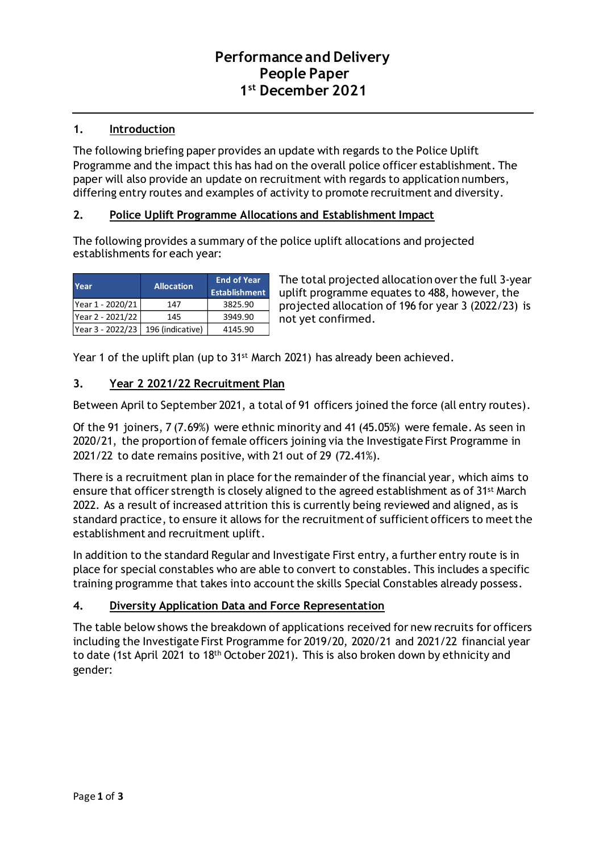# **Performance and Delivery People Paper 1 st December 2021**

## **1. Introduction**

The following briefing paper provides an update with regards to the Police Uplift Programme and the impact this has had on the overall police officer establishment. The paper will also provide an update on recruitment with regards to application numbers, differing entry routes and examples of activity to promote recruitment and diversity.

### **2. Police Uplift Programme Allocations and Establishment Impact**

The following provides a summary of the police uplift allocations and projected establishments for each year:

| <b>Year</b>                         | <b>Allocation</b> | <b>End of Year</b><br><b>Establishment</b> |
|-------------------------------------|-------------------|--------------------------------------------|
| Year 1 - 2020/21                    | 147               | 3825.90                                    |
| Year 2 - 2021/22                    | 145               | 3949.90                                    |
| Year 3 - 2022/23   196 (indicative) |                   | 4145.90                                    |

The total projected allocation over the full 3-year uplift programme equates to 488, however, the projected allocation of 196 for year 3 (2022/23) is not yet confirmed.

Year 1 of the uplift plan (up to 31<sup>st</sup> March 2021) has already been achieved.

### **3. Year 2 2021/22 Recruitment Plan**

Between April to September 2021, a total of 91 officers joined the force (all entry routes).

Of the 91 joiners, 7 (7.69%) were ethnic minority and 41 (45.05%) were female. As seen in 2020/21, the proportion of female officers joining via the Investigate First Programme in 2021/22 to date remains positive, with 21 out of 29 (72.41%).

There is a recruitment plan in place for the remainder of the financial year, which aims to ensure that officer strength is closely aligned to the agreed establishment as of 31st March 2022. As a result of increased attrition this is currently being reviewed and aligned, as is standard practice, to ensure it allows for the recruitment of sufficient officers to meet the establishment and recruitment uplift.

In addition to the standard Regular and Investigate First entry, a further entry route is in place for special constables who are able to convert to constables. This includes a specific training programme that takes into account the skills Special Constables already possess.

## **4. Diversity Application Data and Force Representation**

The table below shows the breakdown of applications received for new recruits for officers including the Investigate First Programme for 2019/20, 2020/21 and 2021/22 financial year to date (1st April 2021 to 18th October 2021). This is also broken down by ethnicity and gender: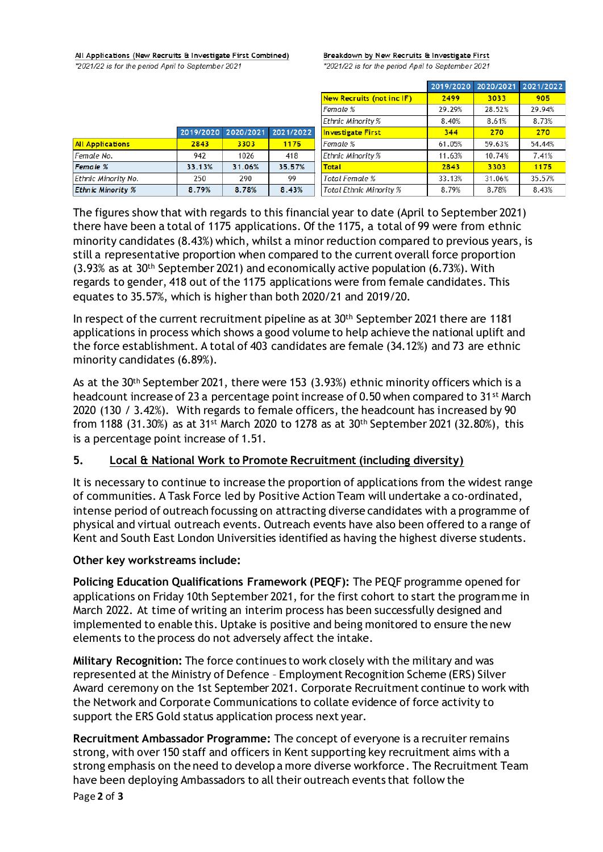All Applications (New Recruits & Investigate First Combined)

2019/2020 2020/2021

3303

1026

31.06%

290

8.78%

2843

947

33.13%

250

8.79%

\*2021/22 is for the period April to September 2021

**All Applications** 

**Ethnic Minority %** 

Female No.

**Female %** Ethnic Minority No. Breakdown by New Recruits & Investigate First \*2021/22 is for the period April to September 2021

|                                  | 2019/2020 | 2020/2021 | 2021/2022 |
|----------------------------------|-----------|-----------|-----------|
| <b>New Recruits (not inc IF)</b> | 2499      | 3033      | 905       |
| Female %                         | 29.29%    | 28.52%    | 29.94%    |
| Ethnic Minority %                | 8.40%     | 8.61%     | 8.73%     |
| <b>Investigate First</b>         | 344       | 270       | 270       |
| Female %                         | 61.05%    | 59.63%    | 54.44%    |
| Ethnic Minority %                | 11.63%    | 10.74%    | 7.41%     |
| <b>Total</b>                     | 2843      | 3303      | 1175      |
| Total Female %                   | 33.13%    | 31.06%    | 35.57%    |
| <b>Total Ethnic Minority %</b>   | 8.79%     | 8.78%     | 8.43%     |

The figures show that with regards to this financial year to date (April to September 2021) there have been a total of 1175 applications. Of the 1175, a total of 99 were from ethnic minority candidates (8.43%) which, whilst a minor reduction compared to previous years, is still a representative proportion when compared to the current overall force proportion (3.93% as at 30th September 2021) and economically active population (6.73%). With regards to gender, 418 out of the 1175 applications were from female candidates. This equates to 35.57%, which is higher than both 2020/21 and 2019/20.

 $2021/202$ 1175

 $A1R$ 

35.57%

99

8.43%

In respect of the current recruitment pipeline as at 30th September 2021 there are 1181 applications in process which shows a good volume to help achieve the national uplift and the force establishment. A total of 403 candidates are female (34.12%) and 73 are ethnic minority candidates (6.89%).

As at the 30<sup>th</sup> September 2021, there were 153 (3.93%) ethnic minority officers which is a headcount increase of 23 a percentage point increase of 0.50 when compared to 31st March 2020 (130 / 3.42%). With regards to female officers, the headcount has increased by 90 from 1188 (31.30%) as at 31<sup>st</sup> March 2020 to 1278 as at 30<sup>th</sup> September 2021 (32.80%), this is a percentage point increase of 1.51.

## **5. Local & National Work to Promote Recruitment (including diversity)**

It is necessary to continue to increase the proportion of applications from the widest range of communities. A Task Force led by Positive Action Team will undertake a co-ordinated, intense period of outreach focussing on attracting diverse candidates with a programme of physical and virtual outreach events. Outreach events have also been offered to a range of Kent and South East London Universities identified as having the highest diverse students.

#### **Other key workstreams include:**

**Policing Education Qualifications Framework (PEQF):** The PEQF programme opened for applications on Friday 10th September 2021, for the first cohort to start the programme in March 2022. At time of writing an interim process has been successfully designed and implemented to enable this. Uptake is positive and being monitored to ensure the new elements to the process do not adversely affect the intake.

**Military Recognition:** The force continues to work closely with the military and was represented at the Ministry of Defence – Employment Recognition Scheme (ERS) Silver Award ceremony on the 1st September 2021. Corporate Recruitment continue to work with the Network and Corporate Communications to collate evidence of force activity to support the ERS Gold status application process next year.

**Recruitment Ambassador Programme:** The concept of everyone is a recruiter remains strong, with over 150 staff and officers in Kent supporting key recruitment aims with a strong emphasis on the need to develop a more diverse workforce. The Recruitment Team have been deploying Ambassadors to all their outreach events that follow the

Page **2** of **3**